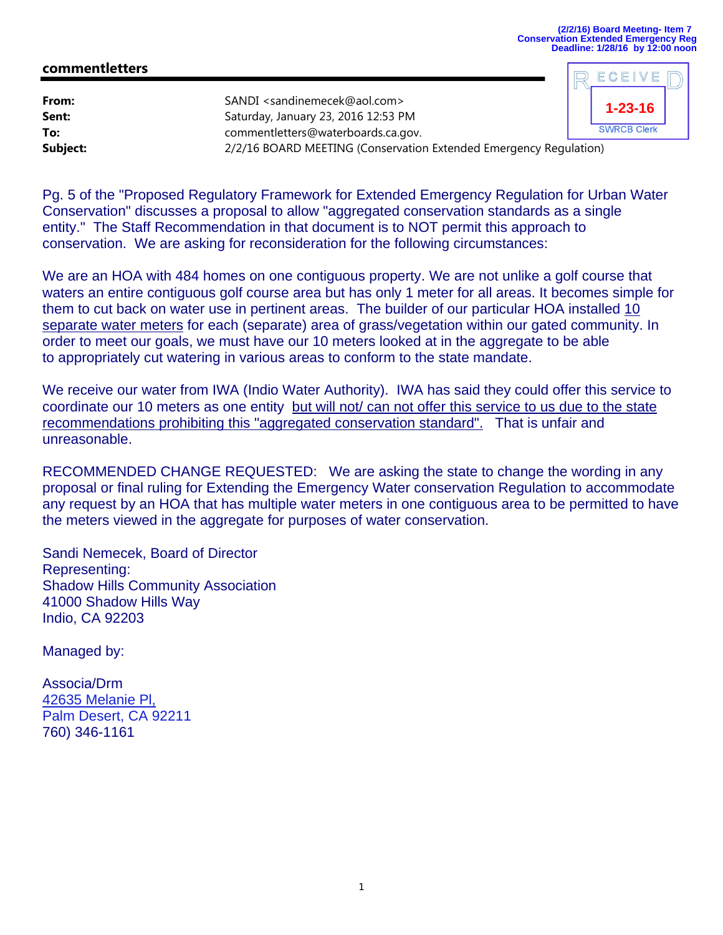ECEIVE

## **commentletters**

| From:<br>Sent:<br>To: | SANDI <sandinemecek@aol.com><br/>Saturday, January 23, 2016 12:53 PM<br/>commentletters@waterboards.ca.gov.</sandinemecek@aol.com> | $1 - 23 - 16$<br><b>SWRCB Clerk</b> |
|-----------------------|------------------------------------------------------------------------------------------------------------------------------------|-------------------------------------|
| Subject:              | 2/2/16 BOARD MEETING (Conservation Extended Emergency Regulation)                                                                  |                                     |

Pg. 5 of the "Proposed Regulatory Framework for Extended Emergency Regulation for Urban Water Conservation" discusses a proposal to allow "aggregated conservation standards as a single entity." The Staff Recommendation in that document is to NOT permit this approach to conservation. We are asking for reconsideration for the following circumstances:

We are an HOA with 484 homes on one contiguous property. We are not unlike a golf course that waters an entire contiguous golf course area but has only 1 meter for all areas. It becomes simple for them to cut back on water use in pertinent areas. The builder of our particular HOA installed 10 separate water meters for each (separate) area of grass/vegetation within our gated community. In order to meet our goals, we must have our 10 meters looked at in the aggregate to be able to appropriately cut watering in various areas to conform to the state mandate.

We receive our water from IWA (Indio Water Authority). IWA has said they could offer this service to coordinate our 10 meters as one entity but will not/ can not offer this service to us due to the state recommendations prohibiting this "aggregated conservation standard". That is unfair and unreasonable.

RECOMMENDED CHANGE REQUESTED: We are asking the state to change the wording in any proposal or final ruling for Extending the Emergency Water conservation Regulation to accommodate any request by an HOA that has multiple water meters in one contiguous area to be permitted to have the meters viewed in the aggregate for purposes of water conservation.

Sandi Nemecek, Board of Director Representing: Shadow Hills Community Association 41000 Shadow Hills Way Indio, CA 92203

Managed by:

Associa/Drm 42635 Melanie Pl, Palm Desert, CA 92211 760) 346-1161